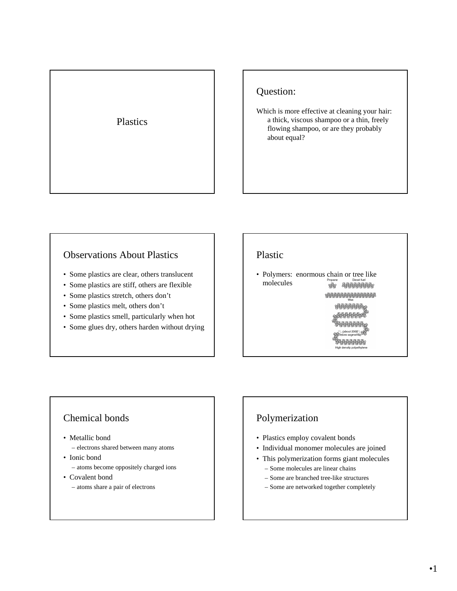#### Plastics

#### Question:

Which is more effective at cleaning your hair: a thick, viscous shampoo or a thin, freely flowing shampoo, or are they probably about equal?

#### Observations About Plastics

- Some plastics are clear, others translucent
- Some plastics are stiff, others are flexible
- Some plastics stretch, others don't
- Some plastics melt, others don't
- Some plastics smell, particularly when hot
- Some glues dry, others harden without drying

#### Plastic

• Polymers: enormous chain or tree like molecules 

> 18888888

**ARSISSISS** High density polyethyle

### Chemical bonds

- Metallic bond
	- electrons shared between many atoms
- Ionic bond
	- atoms become oppositely charged ions
- Covalent bond

– atoms share a pair of electrons

# Polymerization

- Plastics employ covalent bonds
- Individual monomer molecules are joined
- This polymerization forms giant molecules
	- Some molecules are linear chains
	- Some are branched tree-like structures
	- Some are networked together completely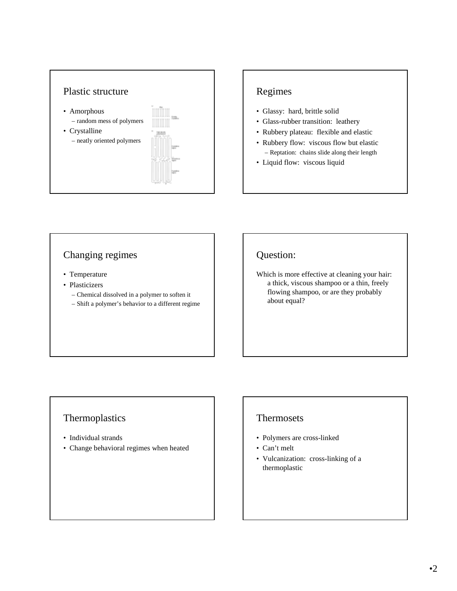

## Regimes

- Glassy: hard, brittle solid
- Glass-rubber transition: leathery
- Rubbery plateau: flexible and elastic
- Rubbery flow: viscous flow but elastic – Reptation: chains slide along their length
- Liquid flow: viscous liquid

#### Changing regimes

- Temperature
- Plasticizers
	- Chemical dissolved in a polymer to soften it
	- Shift a polymer's behavior to a different regime

#### Question:

Which is more effective at cleaning your hair: a thick, viscous shampoo or a thin, freely flowing shampoo, or are they probably about equal?

#### Thermoplastics

- Individual strands
- Change behavioral regimes when heated

#### Thermosets

- Polymers are cross-linked
- Can't melt
- Vulcanization: cross-linking of a thermoplastic